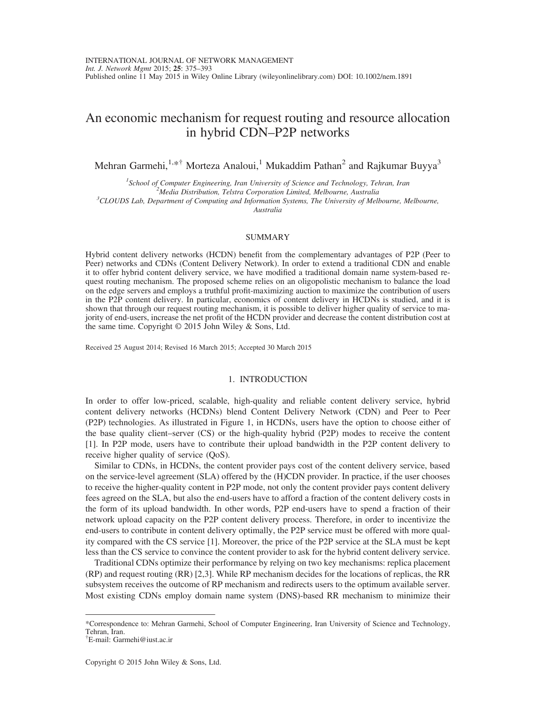# An economic mechanism for request routing and resource allocation in hybrid CDN–P2P networks

Mehran Garmehi,<sup>1,\*†</sup> Morteza Analoui,<sup>1</sup> Mukaddim Pathan<sup>2</sup> and Rajkumar Buyya<sup>3</sup>

<sup>1</sup> School of Computer Engineering, Iran University of Science and Technology, Tehran, Iran  $\frac{2}{3}$ Media Distribution Telstra Corporation Limited Melbourne, Australia  ${}^{2}$ Media Distribution, Telstra Corporation Limited, Melbourne, Australia  ${}^{3}$ CLOUDS Lab, Department of Computing and Information Systems, The University of Melbourne, Melbourne,

Australia

## SUMMARY

Hybrid content delivery networks (HCDN) benefit from the complementary advantages of P2P (Peer to Peer) networks and CDNs (Content Delivery Network). In order to extend a traditional CDN and enable it to offer hybrid content delivery service, we have modified a traditional domain name system-based request routing mechanism. The proposed scheme relies on an oligopolistic mechanism to balance the load on the edge servers and employs a truthful profit-maximizing auction to maximize the contribution of users in the P2P content delivery. In particular, economics of content delivery in HCDNs is studied, and it is shown that through our request routing mechanism, it is possible to deliver higher quality of service to majority of end-users, increase the net profit of the HCDN provider and decrease the content distribution cost at the same time. Copyright © 2015 John Wiley & Sons, Ltd.

Received 25 August 2014; Revised 16 March 2015; Accepted 30 March 2015

## 1. INTRODUCTION

In order to offer low-priced, scalable, high-quality and reliable content delivery service, hybrid content delivery networks (HCDNs) blend Content Delivery Network (CDN) and Peer to Peer (P2P) technologies. As illustrated in Figure 1, in HCDNs, users have the option to choose either of the base quality client–server (CS) or the high-quality hybrid (P2P) modes to receive the content [1]. In P2P mode, users have to contribute their upload bandwidth in the P2P content delivery to receive higher quality of service (QoS).

Similar to CDNs, in HCDNs, the content provider pays cost of the content delivery service, based on the service-level agreement (SLA) offered by the (H)CDN provider. In practice, if the user chooses to receive the higher-quality content in P2P mode, not only the content provider pays content delivery fees agreed on the SLA, but also the end-users have to afford a fraction of the content delivery costs in the form of its upload bandwidth. In other words, P2P end-users have to spend a fraction of their network upload capacity on the P2P content delivery process. Therefore, in order to incentivize the end-users to contribute in content delivery optimally, the P2P service must be offered with more quality compared with the CS service [1]. Moreover, the price of the P2P service at the SLA must be kept less than the CS service to convince the content provider to ask for the hybrid content delivery service.

Traditional CDNs optimize their performance by relying on two key mechanisms: replica placement (RP) and request routing (RR) [2,3]. While RP mechanism decides for the locations of replicas, the RR subsystem receives the outcome of RP mechanism and redirects users to the optimum available server. Most existing CDNs employ domain name system (DNS)-based RR mechanism to minimize their

<sup>\*</sup>Correspondence to: Mehran Garmehi, School of Computer Engineering, Iran University of Science and Technology, Tehran, Iran.

<sup>†</sup> E-mail: Garmehi@iust.ac.ir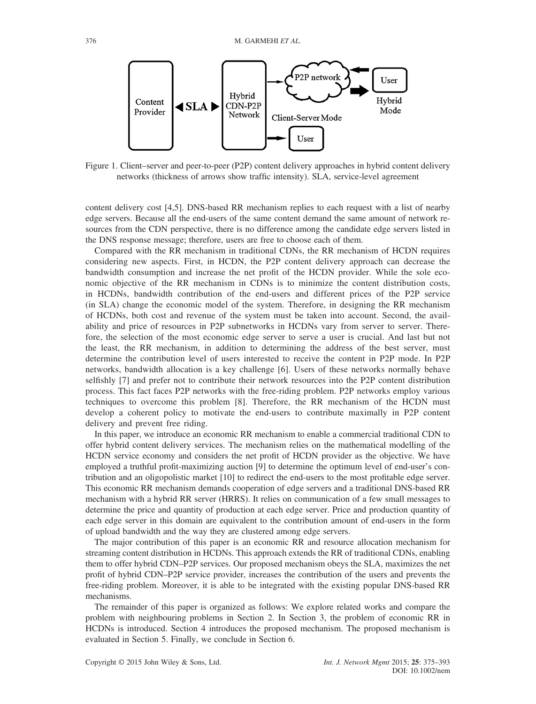

Figure 1. Client–server and peer-to-peer (P2P) content delivery approaches in hybrid content delivery networks (thickness of arrows show traffic intensity). SLA, service-level agreement

content delivery cost [4,5]. DNS-based RR mechanism replies to each request with a list of nearby edge servers. Because all the end-users of the same content demand the same amount of network resources from the CDN perspective, there is no difference among the candidate edge servers listed in the DNS response message; therefore, users are free to choose each of them.

Compared with the RR mechanism in traditional CDNs, the RR mechanism of HCDN requires considering new aspects. First, in HCDN, the P2P content delivery approach can decrease the bandwidth consumption and increase the net profit of the HCDN provider. While the sole economic objective of the RR mechanism in CDNs is to minimize the content distribution costs, in HCDNs, bandwidth contribution of the end-users and different prices of the P2P service (in SLA) change the economic model of the system. Therefore, in designing the RR mechanism of HCDNs, both cost and revenue of the system must be taken into account. Second, the availability and price of resources in P2P subnetworks in HCDNs vary from server to server. Therefore, the selection of the most economic edge server to serve a user is crucial. And last but not the least, the RR mechanism, in addition to determining the address of the best server, must determine the contribution level of users interested to receive the content in P2P mode. In P2P networks, bandwidth allocation is a key challenge [6]. Users of these networks normally behave selfishly [7] and prefer not to contribute their network resources into the P2P content distribution process. This fact faces P2P networks with the free-riding problem. P2P networks employ various techniques to overcome this problem [8]. Therefore, the RR mechanism of the HCDN must develop a coherent policy to motivate the end-users to contribute maximally in P2P content delivery and prevent free riding.

In this paper, we introduce an economic RR mechanism to enable a commercial traditional CDN to offer hybrid content delivery services. The mechanism relies on the mathematical modelling of the HCDN service economy and considers the net profit of HCDN provider as the objective. We have employed a truthful profit-maximizing auction [9] to determine the optimum level of end-user's contribution and an oligopolistic market [10] to redirect the end-users to the most profitable edge server. This economic RR mechanism demands cooperation of edge servers and a traditional DNS-based RR mechanism with a hybrid RR server (HRRS). It relies on communication of a few small messages to determine the price and quantity of production at each edge server. Price and production quantity of each edge server in this domain are equivalent to the contribution amount of end-users in the form of upload bandwidth and the way they are clustered among edge servers.

The major contribution of this paper is an economic RR and resource allocation mechanism for streaming content distribution in HCDNs. This approach extends the RR of traditional CDNs, enabling them to offer hybrid CDN–P2P services. Our proposed mechanism obeys the SLA, maximizes the net profit of hybrid CDN–P2P service provider, increases the contribution of the users and prevents the free-riding problem. Moreover, it is able to be integrated with the existing popular DNS-based RR mechanisms.

The remainder of this paper is organized as follows: We explore related works and compare the problem with neighbouring problems in Section 2. In Section 3, the problem of economic RR in HCDNs is introduced. Section 4 introduces the proposed mechanism. The proposed mechanism is evaluated in Section 5. Finally, we conclude in Section 6.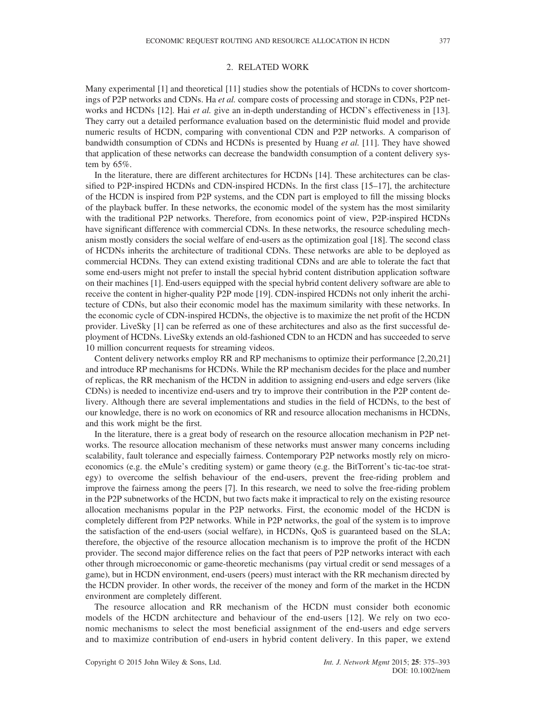## 2. RELATED WORK

Many experimental [1] and theoretical [11] studies show the potentials of HCDNs to cover shortcomings of P2P networks and CDNs. Ha et al. compare costs of processing and storage in CDNs, P2P networks and HCDNs [12]. Hai *et al.* give an in-depth understanding of HCDN's effectiveness in [13]. They carry out a detailed performance evaluation based on the deterministic fluid model and provide numeric results of HCDN, comparing with conventional CDN and P2P networks. A comparison of bandwidth consumption of CDNs and HCDNs is presented by Huang *et al.* [11]. They have showed that application of these networks can decrease the bandwidth consumption of a content delivery system by  $65\%$ .

In the literature, there are different architectures for HCDNs [14]. These architectures can be classified to P2P-inspired HCDNs and CDN-inspired HCDNs. In the first class [15–17], the architecture of the HCDN is inspired from P2P systems, and the CDN part is employed to fill the missing blocks of the playback buffer. In these networks, the economic model of the system has the most similarity with the traditional P2P networks. Therefore, from economics point of view, P2P-inspired HCDNs have significant difference with commercial CDNs. In these networks, the resource scheduling mechanism mostly considers the social welfare of end-users as the optimization goal [18]. The second class of HCDNs inherits the architecture of traditional CDNs. These networks are able to be deployed as commercial HCDNs. They can extend existing traditional CDNs and are able to tolerate the fact that some end-users might not prefer to install the special hybrid content distribution application software on their machines [1]. End-users equipped with the special hybrid content delivery software are able to receive the content in higher-quality P2P mode [19]. CDN-inspired HCDNs not only inherit the architecture of CDNs, but also their economic model has the maximum similarity with these networks. In the economic cycle of CDN-inspired HCDNs, the objective is to maximize the net profit of the HCDN provider. LiveSky [1] can be referred as one of these architectures and also as the first successful deployment of HCDNs. LiveSky extends an old-fashioned CDN to an HCDN and has succeeded to serve 10 million concurrent requests for streaming videos.

Content delivery networks employ RR and RP mechanisms to optimize their performance [2,20,21] and introduce RP mechanisms for HCDNs. While the RP mechanism decides for the place and number of replicas, the RR mechanism of the HCDN in addition to assigning end-users and edge servers (like CDNs) is needed to incentivize end-users and try to improve their contribution in the P2P content delivery. Although there are several implementations and studies in the field of HCDNs, to the best of our knowledge, there is no work on economics of RR and resource allocation mechanisms in HCDNs, and this work might be the first.

In the literature, there is a great body of research on the resource allocation mechanism in P2P networks. The resource allocation mechanism of these networks must answer many concerns including scalability, fault tolerance and especially fairness. Contemporary P2P networks mostly rely on microeconomics (e.g. the eMule's crediting system) or game theory (e.g. the BitTorrent's tic-tac-toe strategy) to overcome the selfish behaviour of the end-users, prevent the free-riding problem and improve the fairness among the peers [7]. In this research, we need to solve the free-riding problem in the P2P subnetworks of the HCDN, but two facts make it impractical to rely on the existing resource allocation mechanisms popular in the P2P networks. First, the economic model of the HCDN is completely different from P2P networks. While in P2P networks, the goal of the system is to improve the satisfaction of the end-users (social welfare), in HCDNs, QoS is guaranteed based on the SLA; therefore, the objective of the resource allocation mechanism is to improve the profit of the HCDN provider. The second major difference relies on the fact that peers of P2P networks interact with each other through microeconomic or game-theoretic mechanisms (pay virtual credit or send messages of a game), but in HCDN environment, end-users (peers) must interact with the RR mechanism directed by the HCDN provider. In other words, the receiver of the money and form of the market in the HCDN environment are completely different.

The resource allocation and RR mechanism of the HCDN must consider both economic models of the HCDN architecture and behaviour of the end-users [12]. We rely on two economic mechanisms to select the most beneficial assignment of the end-users and edge servers and to maximize contribution of end-users in hybrid content delivery. In this paper, we extend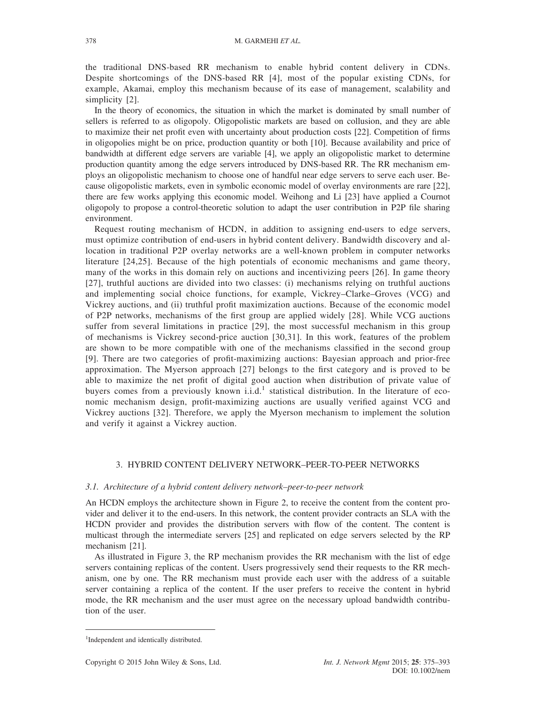the traditional DNS-based RR mechanism to enable hybrid content delivery in CDNs. Despite shortcomings of the DNS-based RR [4], most of the popular existing CDNs, for example, Akamai, employ this mechanism because of its ease of management, scalability and simplicity [2].

In the theory of economics, the situation in which the market is dominated by small number of sellers is referred to as oligopoly. Oligopolistic markets are based on collusion, and they are able to maximize their net profit even with uncertainty about production costs [22]. Competition of firms in oligopolies might be on price, production quantity or both [10]. Because availability and price of bandwidth at different edge servers are variable [4], we apply an oligopolistic market to determine production quantity among the edge servers introduced by DNS-based RR. The RR mechanism employs an oligopolistic mechanism to choose one of handful near edge servers to serve each user. Because oligopolistic markets, even in symbolic economic model of overlay environments are rare [22], there are few works applying this economic model. Weihong and Li [23] have applied a Cournot oligopoly to propose a control-theoretic solution to adapt the user contribution in P2P file sharing environment.

Request routing mechanism of HCDN, in addition to assigning end-users to edge servers, must optimize contribution of end-users in hybrid content delivery. Bandwidth discovery and allocation in traditional P2P overlay networks are a well-known problem in computer networks literature [24,25]. Because of the high potentials of economic mechanisms and game theory, many of the works in this domain rely on auctions and incentivizing peers [26]. In game theory [27], truthful auctions are divided into two classes: (i) mechanisms relying on truthful auctions and implementing social choice functions, for example, Vickrey–Clarke–Groves (VCG) and Vickrey auctions, and (ii) truthful profit maximization auctions. Because of the economic model of P2P networks, mechanisms of the first group are applied widely [28]. While VCG auctions suffer from several limitations in practice [29], the most successful mechanism in this group of mechanisms is Vickrey second-price auction [30,31]. In this work, features of the problem are shown to be more compatible with one of the mechanisms classified in the second group [9]. There are two categories of profit-maximizing auctions: Bayesian approach and prior-free approximation. The Myerson approach [27] belongs to the first category and is proved to be able to maximize the net profit of digital good auction when distribution of private value of buyers comes from a previously known i.i.d.<sup>1</sup> statistical distribution. In the literature of economic mechanism design, profit-maximizing auctions are usually verified against VCG and Vickrey auctions [32]. Therefore, we apply the Myerson mechanism to implement the solution and verify it against a Vickrey auction.

# 3. HYBRID CONTENT DELIVERY NETWORK–PEER-TO-PEER NETWORKS

#### 3.1. Architecture of a hybrid content delivery network–peer-to-peer network

An HCDN employs the architecture shown in Figure 2, to receive the content from the content provider and deliver it to the end-users. In this network, the content provider contracts an SLA with the HCDN provider and provides the distribution servers with flow of the content. The content is multicast through the intermediate servers [25] and replicated on edge servers selected by the RP mechanism [21].

As illustrated in Figure 3, the RP mechanism provides the RR mechanism with the list of edge servers containing replicas of the content. Users progressively send their requests to the RR mechanism, one by one. The RR mechanism must provide each user with the address of a suitable server containing a replica of the content. If the user prefers to receive the content in hybrid mode, the RR mechanism and the user must agree on the necessary upload bandwidth contribution of the user.

<sup>&</sup>lt;sup>1</sup>Independent and identically distributed.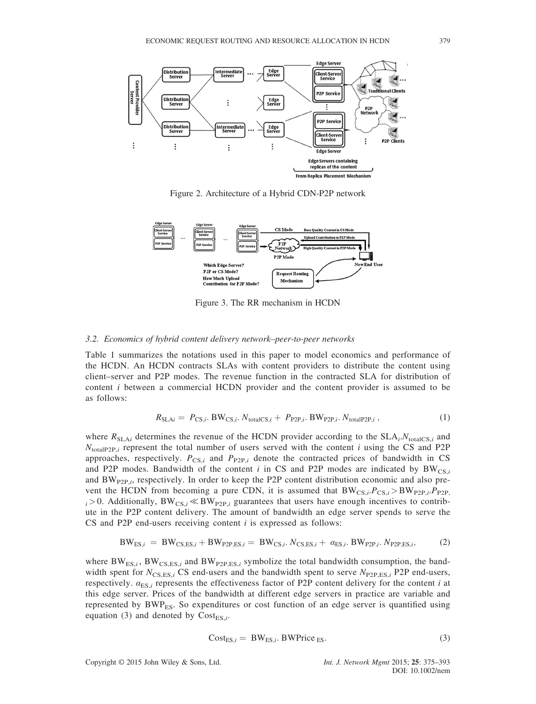

Figure 2. Architecture of a Hybrid CDN-P2P network



Figure 3. The RR mechanism in HCDN

#### 3.2. Economics of hybrid content delivery network–peer-to-peer networks

Table 1 summarizes the notations used in this paper to model economics and performance of the HCDN. An HCDN contracts SLAs with content providers to distribute the content using client–server and P2P modes. The revenue function in the contracted SLA for distribution of content i between a commercial HCDN provider and the content provider is assumed to be as follows:

$$
R_{\text{SLAi}} = P_{\text{CS},i}. \text{BW}_{\text{CS},i}. N_{\text{totalCS},i} + P_{\text{P2P},i}. \text{BW}_{\text{P2P},i}. N_{\text{totalP2P},i} \,, \tag{1}
$$

where  $R_{SLA_i}$  determines the revenue of the HCDN provider according to the  $SLA_i.N_{totalCS,i}$  and  $N_{\text{totalP2P},i}$  represent the total number of users served with the content i using the CS and P2P approaches, respectively.  $P_{CS,i}$  and  $P_{P2P,i}$  denote the contracted prices of bandwidth in CS and P2P modes. Bandwidth of the content i in CS and P2P modes are indicated by  $BW_{CS,i}$ and  $BW_{P2P,i}$ , respectively. In order to keep the P2P content distribution economic and also prevent the HCDN from becoming a pure CDN, it is assumed that  $BW_{CS,i}P_{CS,i} > BW_{P2P,i}P_{P2P,i}$  $i > 0$ . Additionally, BW<sub>CS</sub> $i \ll BW_{P2P,i}$  guarantees that users have enough incentives to contribute in the P2P content delivery. The amount of bandwidth an edge server spends to serve the CS and P2P end-users receiving content  $i$  is expressed as follows:

$$
BW_{ES,i} = BW_{CS,ES,i} + BW_{P2P,ES,i} = BW_{CS,i} \cdot N_{CS,ES,i} + \alpha_{ES,i} \cdot BW_{P2P,i} \cdot N_{P2P,ES,i},
$$
 (2)

where  $BW_{ES,i}$ ,  $BW_{CS,ES,i}$  and  $BW_{P2P,ES,i}$  symbolize the total bandwidth consumption, the bandwidth spent for  $N_{\text{CS,ES},i}$  CS end-users and the bandwidth spent to serve  $N_{\text{P2P,ES},i}$  P2P end-users, respectively.  $\alpha_{ES,i}$  represents the effectiveness factor of P2P content delivery for the content i at this edge server. Prices of the bandwidth at different edge servers in practice are variable and represented by  $BWP_{ES}$ . So expenditures or cost function of an edge server is quantified using equation (3) and denoted by  $Cost_{ES,i}$ .

$$
Cost_{ES,i} = BW_{ES,i}. BWPrice_{ES}. \t\t(3)
$$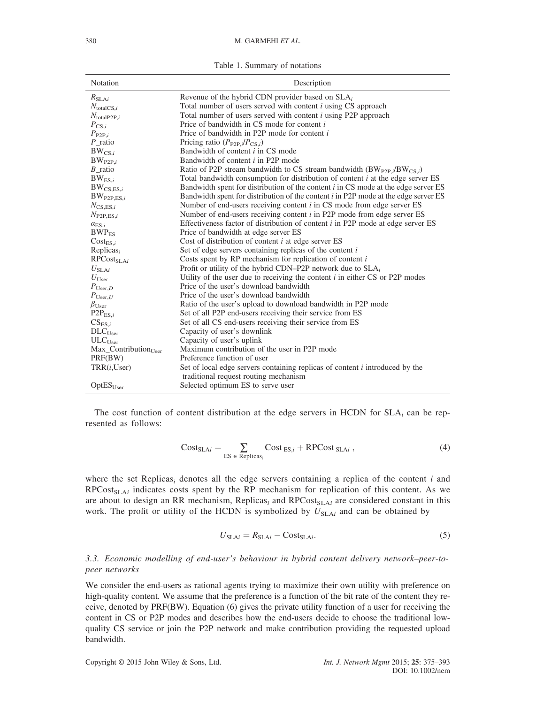Table 1. Summary of notations

| Notation                                  | Description                                                                          |
|-------------------------------------------|--------------------------------------------------------------------------------------|
| $R_{\rm SLA}i$                            | Revenue of the hybrid CDN provider based on $SLA_i$                                  |
| $N_{\text{totalCS},i}$                    | Total number of users served with content $i$ using CS approach                      |
| $N_{\text{totalP2P},i}$                   | Total number of users served with content <i>i</i> using P2P approach                |
| $P_{CS,i}$                                | Price of bandwidth in CS mode for content i                                          |
| $P_{\mathrm{P2P},i}$                      | Price of bandwidth in P2P mode for content i                                         |
| $P$ _ratio                                | Pricing ratio $(P_{P2P,i}/P_{CS,i})$                                                 |
| $BW_{CS,i}$                               | Bandwidth of content <i>i</i> in CS mode                                             |
| $BW_{P2P,i}$                              | Bandwidth of content <i>i</i> in P2P mode                                            |
| $B$ _ratio                                | Ratio of P2P stream bandwidth to CS stream bandwidth $(BW_{P2P,i}/BW_{CS,i})$        |
| $BW_{ES,i}$                               | Total bandwidth consumption for distribution of content $i$ at the edge server ES    |
| $BW_{CS,ES,i}$                            | Bandwidth spent for distribution of the content $i$ in CS mode at the edge server ES |
| $BW_{P2P,ES,i}$                           | Bandwidth spent for distribution of the content i in P2P mode at the edge server ES  |
| $N_{\text{CS,ES},i}$                      | Number of end-users receiving content $i$ in CS mode from edge server ES             |
| $N_{\text{P2P,ES},i}$                     | Number of end-users receiving content $i$ in P2P mode from edge server ES            |
| $\alpha_{ES,i}$                           | Effectiveness factor of distribution of content $i$ in P2P mode at edge server ES    |
| $BWP_{ES}$                                | Price of bandwidth at edge server ES                                                 |
| $Cost_{ES,i}$                             | Cost of distribution of content $i$ at edge server ES                                |
| Replicas $_i$                             | Set of edge servers containing replicas of the content $i$                           |
| $RPCost_{SLAi}$                           | Costs spent by RP mechanism for replication of content $i$                           |
| $U_{\mathrm{SLA}i}$                       | Profit or utility of the hybrid CDN-P2P network due to $SLA_i$                       |
| $U_{\text{User}}$                         | Utility of the user due to receiving the content $i$ in either CS or P2P modes       |
| $P_{\text{User},D}$                       | Price of the user's download bandwidth                                               |
| $P_{\text{User},U}$                       | Price of the user's download bandwidth                                               |
| $\beta_{\text{User}}$                     | Ratio of the user's upload to download bandwidth in P2P mode                         |
| $P2P_{ES,i}$                              | Set of all P2P end-users receiving their service from ES                             |
| $CS_{ES,i}$                               | Set of all CS end-users receiving their service from ES                              |
| $DLC_{User}$                              | Capacity of user's downlink                                                          |
| ULC <sub>User</sub>                       | Capacity of user's uplink                                                            |
| $Max_{\text{Contribution}_{\text{User}}}$ | Maximum contribution of the user in P2P mode                                         |
| PRF(BW)                                   | Preference function of user                                                          |
| TRR(i, User)                              | Set of local edge servers containing replicas of content $i$ introduced by the       |
|                                           | traditional request routing mechanism                                                |
| OptES <sub>User</sub>                     | Selected optimum ES to serve user                                                    |

The cost function of content distribution at the edge servers in HCDN for  $SLA_i$  can be represented as follows:

$$
Cost_{SLAi} = \sum_{ES \in Replicas_i} Cost_{ES,i} + RPCost_{SLAi}, \qquad (4)
$$

where the set Replicas<sub>i</sub> denotes all the edge servers containing a replica of the content i and  $RPCost<sub>SLAi</sub>$  indicates costs spent by the RP mechanism for replication of this content. As we are about to design an RR mechanism, Replicas<sub>i</sub> and RPCost<sub>SLAi</sub> are considered constant in this work. The profit or utility of the HCDN is symbolized by  $U_{SLAi}$  and can be obtained by

$$
U_{\text{SLAi}} = R_{\text{SLAi}} - \text{Cost}_{\text{SLAi}}.\tag{5}
$$

# 3.3. Economic modelling of end-user's behaviour in hybrid content delivery network–peer-topeer networks

We consider the end-users as rational agents trying to maximize their own utility with preference on high-quality content. We assume that the preference is a function of the bit rate of the content they receive, denoted by PRF(BW). Equation (6) gives the private utility function of a user for receiving the content in CS or P2P modes and describes how the end-users decide to choose the traditional lowquality CS service or join the P2P network and make contribution providing the requested upload bandwidth.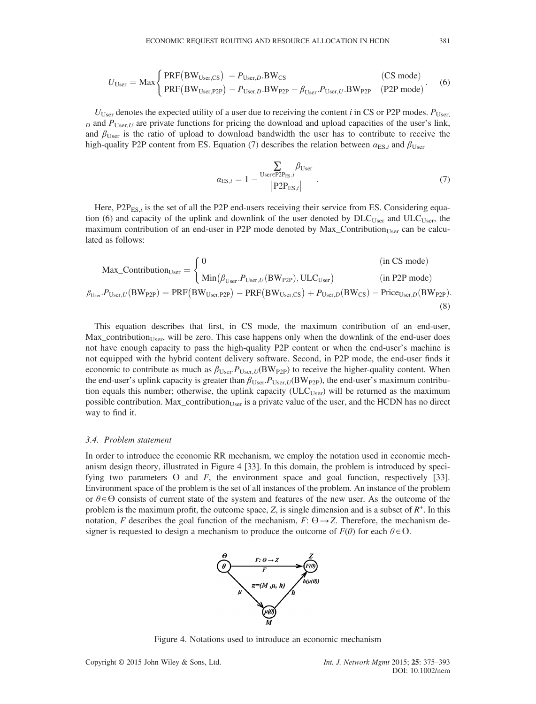$$
U_{\text{User}} = \text{Max} \begin{cases} \text{PRF}(\text{BW}_{\text{User,CS}}) - P_{\text{User},D}.\text{BW}_{\text{CS}} & \text{(CS mode)}\\ \text{PRF}(\text{BW}_{\text{User,P2P}}) - P_{\text{User},D}.\text{BW}_{\text{P2P}} - \beta_{\text{User},U}.\text{BW}_{\text{P2P}} & \text{(P2P mode)} \end{cases} \tag{6}
$$

 $U_{\text{User}}$  denotes the expected utility of a user due to receiving the content i in CS or P2P modes.  $P_{\text{User}}$  $D<sub>D</sub>$  and  $P<sub>User,U</sub>$  are private functions for pricing the download and upload capacities of the user's link, and  $\beta_{\text{User}}$  is the ratio of upload to download bandwidth the user has to contribute to receive the high-quality P2P content from ES. Equation (7) describes the relation between  $\alpha_{ES,i}$  and  $\beta_{User}$ 

$$
\alpha_{\text{ES},i} = 1 - \frac{\sum_{\text{User}} \beta_{\text{User}}}{|\text{P2P}_{\text{ES},i}|} \tag{7}
$$

Here,  $P2P_{ES}$  is the set of all the P2P end-users receiving their service from ES. Considering equation (6) and capacity of the uplink and downlink of the user denoted by  $DLC_{User}$  and  $ULC_{User}$ , the maximum contribution of an end-user in P2P mode denoted by  $Max_{\text{Contribution}}$  can be calculated as follows:

$$
\text{Max\_Continution}_{\text{User}} = \begin{cases} 0 & \text{(in CS mode)} \\ \text{Min}(\beta_{\text{User}}. P_{\text{User}, U}(\text{BW}_{\text{P2P}}), \text{ULC}_{\text{User}}) & \text{(in P2P mode)} \\ \beta_{\text{User}}. P_{\text{User}, U}(\text{BW}_{\text{P2P}}) = \text{PRF}(\text{BW}_{\text{User}, \text{P2P}}) - \text{PRF}(\text{BW}_{\text{User}, \text{CS}}) + P_{\text{User}, D}(\text{BW}_{\text{CS}}) - \text{Price}_{\text{User}, D}(\text{BW}_{\text{P2P}}). \end{cases} \tag{8}
$$

This equation describes that first, in CS mode, the maximum contribution of an end-user,  $Max_{\text{contribution}}$  will be zero. This case happens only when the downlink of the end-user does not have enough capacity to pass the high-quality P2P content or when the end-user's machine is not equipped with the hybrid content delivery software. Second, in P2P mode, the end-user finds it economic to contribute as much as  $\beta_{User}P_{UserU}(BW_{P2P})$  to receive the higher-quality content. When the end-user's uplink capacity is greater than  $\beta_{User}P_{User,U}(BW_{P2P})$ , the end-user's maximum contribution equals this number; otherwise, the uplink capacity (ULC $_{Use}$ ) will be returned as the maximum possible contribution. Max\_contribution $_{User}$  is a private value of the user, and the HCDN has no direct way to find it.

#### 3.4. Problem statement

In order to introduce the economic RR mechanism, we employ the notation used in economic mechanism design theory, illustrated in Figure 4 [33]. In this domain, the problem is introduced by specifying two parameters  $\Theta$  and  $F$ , the environment space and goal function, respectively [33]. Environment space of the problem is the set of all instances of the problem. An instance of the problem or  $\theta \in \Theta$  consists of current state of the system and features of the new user. As the outcome of the problem is the maximum profit, the outcome space, Z, is single dimension and is a subset of  $R^+$ . In this notation, F describes the goal function of the mechanism, F:  $\Theta \rightarrow Z$ . Therefore, the mechanism designer is requested to design a mechanism to produce the outcome of  $F(\theta)$  for each  $\theta \in \Theta$ .



Figure 4. Notations used to introduce an economic mechanism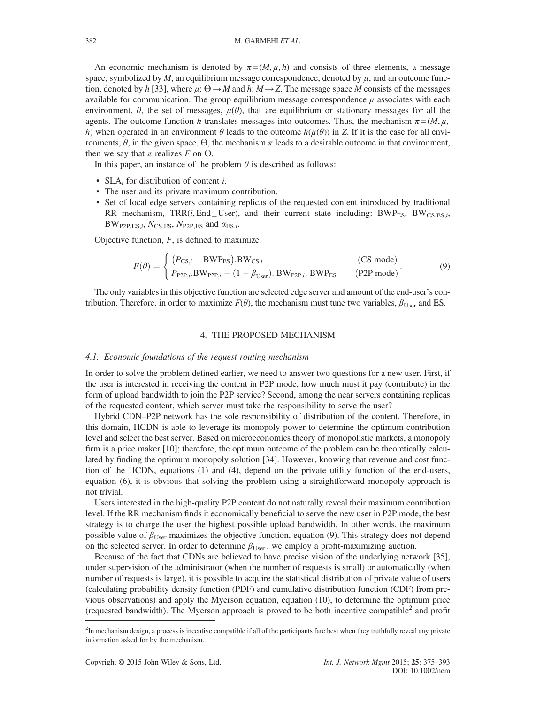An economic mechanism is denoted by  $\pi = (M, \mu, h)$  and consists of three elements, a message space, symbolized by  $M$ , an equilibrium message correspondence, denoted by  $\mu$ , and an outcome function, denoted by h [33], where  $\mu: \Theta \to M$  and h:  $M \to Z$ . The message space M consists of the messages available for communication. The group equilibrium message correspondence  $\mu$  associates with each environment,  $\theta$ , the set of messages,  $\mu(\theta)$ , that are equilibrium or stationary messages for all the agents. The outcome function h translates messages into outcomes. Thus, the mechanism  $\pi = (M, \mu, \mu)$ h) when operated in an environment  $\theta$  leads to the outcome  $h(\mu(\theta))$  in Z. If it is the case for all environments,  $\theta$ , in the given space,  $\Theta$ , the mechanism  $\pi$  leads to a desirable outcome in that environment, then we say that  $\pi$  realizes F on  $\Theta$ .

In this paper, an instance of the problem  $\theta$  is described as follows:

- SLA; for distribution of content  $i$ .
- The user and its private maximum contribution.
- Set of local edge servers containing replicas of the requested content introduced by traditional RR mechanism, TRR(i, End User), and their current state including:  $BWP_{FS}$ ,  $BW_{CSES}$ ,  $BW_{P2P,ES,i}$ ,  $N_{CS,ES}$ ,  $N_{P2P,ES}$  and  $\alpha_{ES,i}$ .

Objective function,  $F$ , is defined to maximize

$$
F(\theta) = \begin{cases} (P_{\text{CS},i} - \text{BWP}_{\text{ES}}).\text{BW}_{\text{CS},i} & \text{(CS mode)}\\ P_{\text{P2P},i}.\text{BW}_{\text{P2P},i} - (1 - \beta_{\text{User}}).\text{BW}_{\text{P2P},i}.\text{BWP}_{\text{ES}} & \text{(P2P mode)} \end{cases} \tag{9}
$$

The only variables in this objective function are selected edge server and amount of the end-user's contribution. Therefore, in order to maximize  $F(\theta)$ , the mechanism must tune two variables,  $\beta_{\text{User}}$  and ES.

### 4. THE PROPOSED MECHANISM

## 4.1. Economic foundations of the request routing mechanism

In order to solve the problem defined earlier, we need to answer two questions for a new user. First, if the user is interested in receiving the content in P2P mode, how much must it pay (contribute) in the form of upload bandwidth to join the P2P service? Second, among the near servers containing replicas of the requested content, which server must take the responsibility to serve the user?

Hybrid CDN–P2P network has the sole responsibility of distribution of the content. Therefore, in this domain, HCDN is able to leverage its monopoly power to determine the optimum contribution level and select the best server. Based on microeconomics theory of monopolistic markets, a monopoly firm is a price maker [10]; therefore, the optimum outcome of the problem can be theoretically calculated by finding the optimum monopoly solution [34]. However, knowing that revenue and cost function of the HCDN, equations (1) and (4), depend on the private utility function of the end-users, equation (6), it is obvious that solving the problem using a straightforward monopoly approach is not trivial.

Users interested in the high-quality P2P content do not naturally reveal their maximum contribution level. If the RR mechanism finds it economically beneficial to serve the new user in P2P mode, the best strategy is to charge the user the highest possible upload bandwidth. In other words, the maximum possible value of  $\beta_{\text{User}}$  maximizes the objective function, equation (9). This strategy does not depend on the selected server. In order to determine  $\beta_{\text{User}}$ , we employ a profit-maximizing auction.

Because of the fact that CDNs are believed to have precise vision of the underlying network [35], under supervision of the administrator (when the number of requests is small) or automatically (when number of requests is large), it is possible to acquire the statistical distribution of private value of users (calculating probability density function (PDF) and cumulative distribution function (CDF) from previous observations) and apply the Myerson equation, equation (10), to determine the optimum price (requested bandwidth). The Myerson approach is proved to be both incentive compatible<sup>2</sup> and profit

<sup>&</sup>lt;sup>2</sup>In mechanism design, a process is incentive compatible if all of the participants fare best when they truthfully reveal any private information asked for by the mechanism.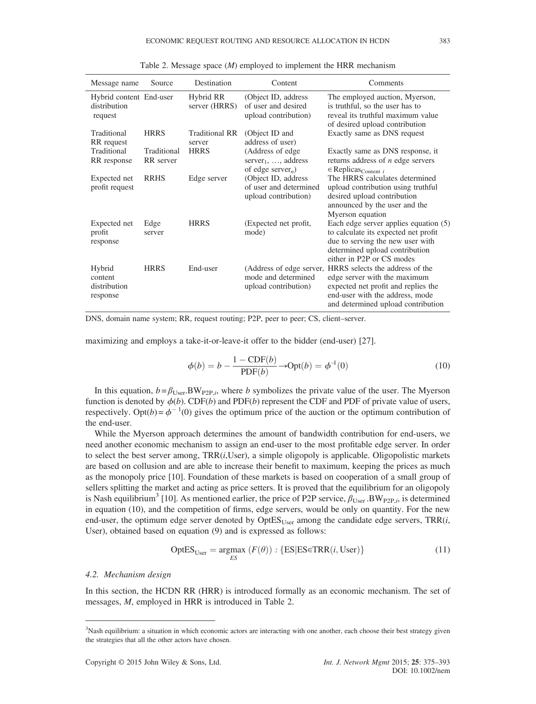| Message name                                       | Source                   | Destination                     | Content                                                                              | Comments                                                                                                                                                                         |
|----------------------------------------------------|--------------------------|---------------------------------|--------------------------------------------------------------------------------------|----------------------------------------------------------------------------------------------------------------------------------------------------------------------------------|
| Hybrid content End-user<br>distribution<br>request |                          | Hybrid RR<br>server (HRRS)      | (Object ID, address<br>of user and desired<br>upload contribution)                   | The employed auction, Myerson,<br>is truthful, so the user has to<br>reveal its truthful maximum value<br>of desired upload contribution                                         |
| Traditional<br>RR request                          | <b>HRRS</b>              | <b>Traditional RR</b><br>server | (Object ID and<br>address of user)                                                   | Exactly same as DNS request                                                                                                                                                      |
| Traditional<br>RR response                         | Traditional<br>RR server | <b>HRRS</b>                     | (Address of edge<br>server <sub>1</sub> , , address<br>of edge server <sub>n</sub> ) | Exactly same as DNS response, it<br>returns address of $n$ edge servers<br>$\in$ Replicas <sub>Content i</sub>                                                                   |
| Expected net<br>profit request                     | <b>RRHS</b>              | Edge server                     | (Object ID, address<br>of user and determined<br>upload contribution)                | The HRRS calculates determined<br>upload contribution using truthful<br>desired upload contribution<br>announced by the user and the<br>Myerson equation                         |
| Expected net<br>profit<br>response                 | Edge<br>server           | <b>HRRS</b>                     | (Expected net profit,<br>mode)                                                       | Each edge server applies equation (5)<br>to calculate its expected net profit<br>due to serving the new user with<br>determined upload contribution<br>either in P2P or CS modes |
| Hybrid<br>content<br>distribution<br>response      | <b>HRRS</b>              | End-user                        | (Address of edge server,<br>mode and determined<br>upload contribution)              | HRRS selects the address of the<br>edge server with the maximum<br>expected net profit and replies the<br>end-user with the address, mode<br>and determined upload contribution  |

Table 2. Message space (*M*) employed to implement the HRR mechanism

DNS, domain name system; RR, request routing; P2P, peer to peer; CS, client–server.

maximizing and employs a take-it-or-leave-it offer to the bidder (end-user) [27].

$$
\phi(b) = b - \frac{1 - \text{CDF}(b)}{\text{PDF}(b)} \rightarrow \text{Opt}(b) = \phi^{-1}(0)
$$
\n(10)

In this equation,  $b = \beta_{User}BW_{P2P,i}$ , where b symbolizes the private value of the user. The Myerson function is denoted by  $\phi(b)$ . CDF(b) and PDF(b) represent the CDF and PDF of private value of users, respectively. Opt( $b$ ) =  $\phi^{-1}(0)$  gives the optimum price of the auction or the optimum contribution of the end-user.

While the Myerson approach determines the amount of bandwidth contribution for end-users, we need another economic mechanism to assign an end-user to the most profitable edge server. In order to select the best server among,  $TRR(i,User)$ , a simple oligopoly is applicable. Oligopolistic markets are based on collusion and are able to increase their benefit to maximum, keeping the prices as much as the monopoly price [10]. Foundation of these markets is based on cooperation of a small group of sellers splitting the market and acting as price setters. It is proved that the equilibrium for an oligopoly is Nash equilibrium<sup>3</sup> [10]. As mentioned earlier, the price of P2P service,  $\beta_{User}$ . BW<sub>P2P,*i*</sub>, is determined in equation (10), and the competition of firms, edge servers, would be only on quantity. For the new end-user, the optimum edge server denoted by  $OptES<sub>User</sub>$  among the candidate edge servers,  $TRR(i,$ User), obtained based on equation (9) and is expressed as follows:

$$
OptESUser = \underset{ES}{\text{argmax}} (F(\theta)) : \{ ES| ES \in TRR(i, User) \}
$$
 (11)

#### 4.2. Mechanism design

In this section, the HCDN RR (HRR) is introduced formally as an economic mechanism. The set of messages, M, employed in HRR is introduced in Table 2.

<sup>&</sup>lt;sup>3</sup>Nash equilibrium: a situation in which economic actors are interacting with one another, each choose their best strategy given the strategies that all the other actors have chosen.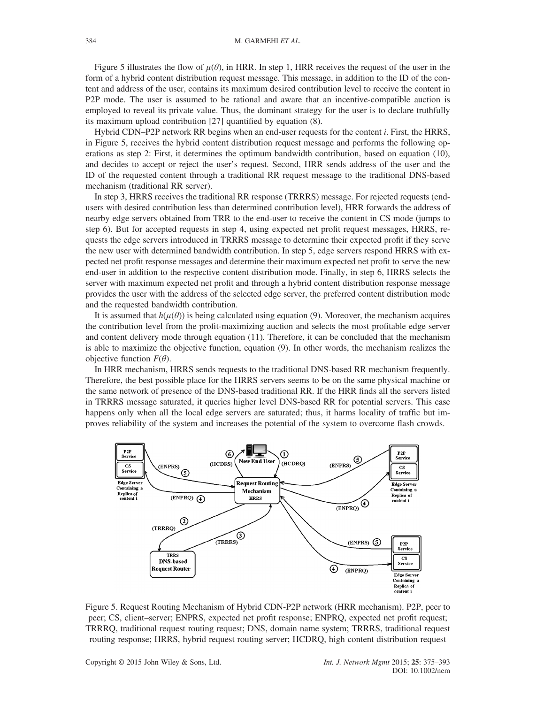Figure 5 illustrates the flow of  $\mu(\theta)$ , in HRR. In step 1, HRR receives the request of the user in the form of a hybrid content distribution request message. This message, in addition to the ID of the content and address of the user, contains its maximum desired contribution level to receive the content in P2P mode. The user is assumed to be rational and aware that an incentive-compatible auction is employed to reveal its private value. Thus, the dominant strategy for the user is to declare truthfully its maximum upload contribution [27] quantified by equation (8).

Hybrid CDN–P2P network RR begins when an end-user requests for the content i. First, the HRRS, in Figure 5, receives the hybrid content distribution request message and performs the following operations as step 2: First, it determines the optimum bandwidth contribution, based on equation (10), and decides to accept or reject the user's request. Second, HRR sends address of the user and the ID of the requested content through a traditional RR request message to the traditional DNS-based mechanism (traditional RR server).

In step 3, HRRS receives the traditional RR response (TRRRS) message. For rejected requests (endusers with desired contribution less than determined contribution level), HRR forwards the address of nearby edge servers obtained from TRR to the end-user to receive the content in CS mode (jumps to step 6). But for accepted requests in step 4, using expected net profit request messages, HRRS, requests the edge servers introduced in TRRRS message to determine their expected profit if they serve the new user with determined bandwidth contribution. In step 5, edge servers respond HRRS with expected net profit response messages and determine their maximum expected net profit to serve the new end-user in addition to the respective content distribution mode. Finally, in step 6, HRRS selects the server with maximum expected net profit and through a hybrid content distribution response message provides the user with the address of the selected edge server, the preferred content distribution mode and the requested bandwidth contribution.

It is assumed that  $h(\mu(\theta))$  is being calculated using equation (9). Moreover, the mechanism acquires the contribution level from the profit-maximizing auction and selects the most profitable edge server and content delivery mode through equation (11). Therefore, it can be concluded that the mechanism is able to maximize the objective function, equation (9). In other words, the mechanism realizes the objective function  $F(\theta)$ .

In HRR mechanism, HRRS sends requests to the traditional DNS-based RR mechanism frequently. Therefore, the best possible place for the HRRS servers seems to be on the same physical machine or the same network of presence of the DNS-based traditional RR. If the HRR finds all the servers listed in TRRRS message saturated, it queries higher level DNS-based RR for potential servers. This case happens only when all the local edge servers are saturated; thus, it harms locality of traffic but improves reliability of the system and increases the potential of the system to overcome flash crowds.



Figure 5. Request Routing Mechanism of Hybrid CDN-P2P network (HRR mechanism). P2P, peer to peer; CS, client–server; ENPRS, expected net profit response; ENPRQ, expected net profit request; TRRRQ, traditional request routing request; DNS, domain name system; TRRRS, traditional request routing response; HRRS, hybrid request routing server; HCDRQ, high content distribution request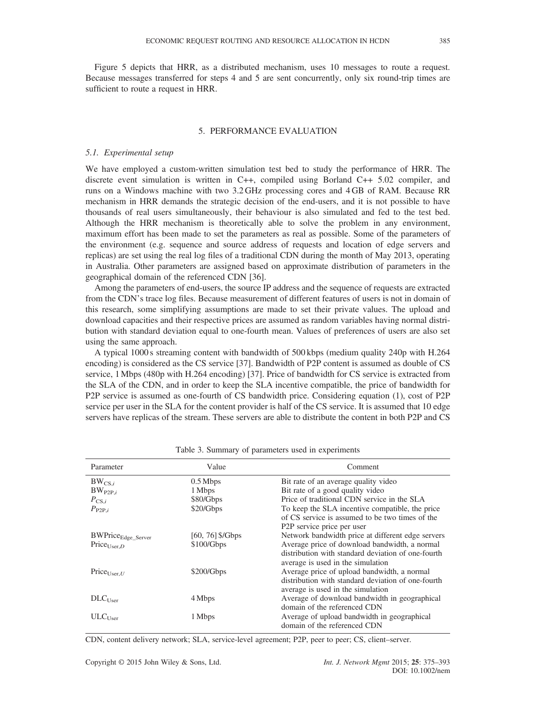Figure 5 depicts that HRR, as a distributed mechanism, uses 10 messages to route a request. Because messages transferred for steps 4 and 5 are sent concurrently, only six round-trip times are sufficient to route a request in HRR.

## 5. PERFORMANCE EVALUATION

## 5.1. Experimental setup

We have employed a custom-written simulation test bed to study the performance of HRR. The discrete event simulation is written in C++, compiled using Borland C++ 5.02 compiler, and runs on a Windows machine with two 3.2 GHz processing cores and 4 GB of RAM. Because RR mechanism in HRR demands the strategic decision of the end-users, and it is not possible to have thousands of real users simultaneously, their behaviour is also simulated and fed to the test bed. Although the HRR mechanism is theoretically able to solve the problem in any environment, maximum effort has been made to set the parameters as real as possible. Some of the parameters of the environment (e.g. sequence and source address of requests and location of edge servers and replicas) are set using the real log files of a traditional CDN during the month of May 2013, operating in Australia. Other parameters are assigned based on approximate distribution of parameters in the geographical domain of the referenced CDN [36].

Among the parameters of end-users, the source IP address and the sequence of requests are extracted from the CDN's trace log files. Because measurement of different features of users is not in domain of this research, some simplifying assumptions are made to set their private values. The upload and download capacities and their respective prices are assumed as random variables having normal distribution with standard deviation equal to one-fourth mean. Values of preferences of users are also set using the same approach.

A typical 1000 s streaming content with bandwidth of 500 kbps (medium quality 240p with H.264 encoding) is considered as the CS service [37]. Bandwidth of P2P content is assumed as double of CS service, 1Mbps (480p with H.264 encoding) [37]. Price of bandwidth for CS service is extracted from the SLA of the CDN, and in order to keep the SLA incentive compatible, the price of bandwidth for P2P service is assumed as one-fourth of CS bandwidth price. Considering equation (1), cost of P2P service per user in the SLA for the content provider is half of the CS service. It is assumed that 10 edge servers have replicas of the stream. These servers are able to distribute the content in both P2P and CS

| Parameter                                   | Value              | Comment                                            |
|---------------------------------------------|--------------------|----------------------------------------------------|
| $BW_{CS,i}$                                 | $0.5$ Mbps         | Bit rate of an average quality video               |
| $BW_{P2P,i}$                                | 1 Mbps             | Bit rate of a good quality video                   |
| $P_{CS,i}$                                  | \$80/Gbps          | Price of traditional CDN service in the SLA        |
| $P_{\rm P2P,i}$                             | \$20/Gbps          | To keep the SLA incentive compatible, the price    |
|                                             |                    | of CS service is assumed to be two times of the    |
|                                             |                    | P <sub>2</sub> P service price per user            |
| $\label{eq:swPrice} BWPrice_{Edge\_Server}$ | $[60, 76]$ \$/Gbps | Network bandwidth price at different edge servers  |
| $Price_{User,D}$                            | \$100/Gbps         | Average price of download bandwidth, a normal      |
|                                             |                    | distribution with standard deviation of one-fourth |
|                                             |                    | average is used in the simulation                  |
| Price $_{User, U}$                          | \$200/Gbps         | Average price of upload bandwidth, a normal        |
|                                             |                    | distribution with standard deviation of one-fourth |
|                                             |                    | average is used in the simulation                  |
| $DLC_{User}$                                | 4 Mbps             | Average of download bandwidth in geographical      |
|                                             |                    | domain of the referenced CDN                       |
| $ULCI$ <sub>Leer</sub>                      | 1 Mbps             | Average of upload bandwidth in geographical        |
|                                             |                    | domain of the referenced CDN                       |
|                                             |                    |                                                    |

Table 3. Summary of parameters used in experiments

CDN, content delivery network; SLA, service-level agreement; P2P, peer to peer; CS, client–server.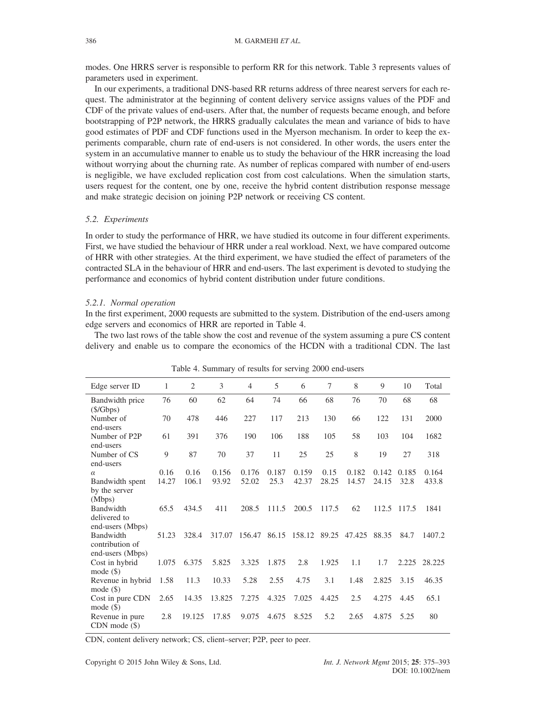modes. One HRRS server is responsible to perform RR for this network. Table 3 represents values of parameters used in experiment.

In our experiments, a traditional DNS-based RR returns address of three nearest servers for each request. The administrator at the beginning of content delivery service assigns values of the PDF and CDF of the private values of end-users. After that, the number of requests became enough, and before bootstrapping of P2P network, the HRRS gradually calculates the mean and variance of bids to have good estimates of PDF and CDF functions used in the Myerson mechanism. In order to keep the experiments comparable, churn rate of end-users is not considered. In other words, the users enter the system in an accumulative manner to enable us to study the behaviour of the HRR increasing the load without worrying about the churning rate. As number of replicas compared with number of end-users is negligible, we have excluded replication cost from cost calculations. When the simulation starts, users request for the content, one by one, receive the hybrid content distribution response message and make strategic decision on joining P2P network or receiving CS content.

#### 5.2. Experiments

In order to study the performance of HRR, we have studied its outcome in four different experiments. First, we have studied the behaviour of HRR under a real workload. Next, we have compared outcome of HRR with other strategies. At the third experiment, we have studied the effect of parameters of the contracted SLA in the behaviour of HRR and end-users. The last experiment is devoted to studying the performance and economics of hybrid content distribution under future conditions.

#### 5.2.1. Normal operation

In the first experiment, 2000 requests are submitted to the system. Distribution of the end-users among edge servers and economics of HRR are reported in Table 4.

The two last rows of the table show the cost and revenue of the system assuming a pure CS content delivery and enable us to compare the economics of the HCDN with a traditional CDN. The last

| Edge server ID                        | $\mathbf{1}$ | $\overline{2}$ | 3      | $\overline{4}$ | 5     | 6      | 7     | 8      | 9     | 10    | Total  |
|---------------------------------------|--------------|----------------|--------|----------------|-------|--------|-------|--------|-------|-------|--------|
| Bandwidth price<br>$(\frac{$}{Gbps})$ | 76           | 60             | 62     | 64             | 74    | 66     | 68    | 76     | 70    | 68    | 68     |
| Number of<br>end-users                | 70           | 478            | 446    | 227            | 117   | 213    | 130   | 66     | 122   | 131   | 2000   |
| Number of P2P<br>end-users            | 61           | 391            | 376    | 190            | 106   | 188    | 105   | 58     | 103   | 104   | 1682   |
| Number of CS<br>end-users             | 9            | 87             | 70     | 37             | 11    | 25     | 25    | 8      | 19    | 27    | 318    |
| $\alpha$                              | 0.16         | 0.16           | 0.156  | 0.176          | 0.187 | 0.159  | 0.15  | 0.182  | 0.142 | 0.185 | 0.164  |
| Bandwidth spent                       | 14.27        | 106.1          | 93.92  | 52.02          | 25.3  | 42.37  | 28.25 | 14.57  | 24.15 | 32.8  | 433.8  |
| by the server<br>(Mbps)               |              |                |        |                |       |        |       |        |       |       |        |
| <b>Bandwidth</b>                      | 65.5         | 434.5          | 411    | 208.5          | 111.5 | 200.5  | 117.5 | 62     | 112.5 | 117.5 | 1841   |
| delivered to<br>end-users (Mbps)      |              |                |        |                |       |        |       |        |       |       |        |
| <b>Bandwidth</b>                      | 51.23        | 328.4          | 317.07 | 156.47         | 86.15 | 158.12 | 89.25 | 47.425 | 88.35 | 84.7  | 1407.2 |
| contribution of<br>end-users (Mbps)   |              |                |        |                |       |        |       |        |       |       |        |
| Cost in hybrid<br>mode $(\$)$         | 1.075        | 6.375          | 5.825  | 3.325          | 1.875 | 2.8    | 1.925 | 1.1    | 1.7   | 2.225 | 28.225 |
| Revenue in hybrid<br>mode $(\$)$      | 1.58         | 11.3           | 10.33  | 5.28           | 2.55  | 4.75   | 3.1   | 1.48   | 2.825 | 3.15  | 46.35  |
| Cost in pure CDN                      | 2.65         | 14.35          | 13.825 | 7.275          | 4.325 | 7.025  | 4.425 | 2.5    | 4.275 | 4.45  | 65.1   |
| mode $(\$)$                           |              |                |        |                |       |        |       |        |       |       |        |
| Revenue in pure<br>$CDN$ mode $(\$)$  | 2.8          | 19.125         | 17.85  | 9.075          | 4.675 | 8.525  | 5.2   | 2.65   | 4.875 | 5.25  | 80     |

Table 4. Summary of results for serving 2000 end-users

CDN, content delivery network; CS, client–server; P2P, peer to peer.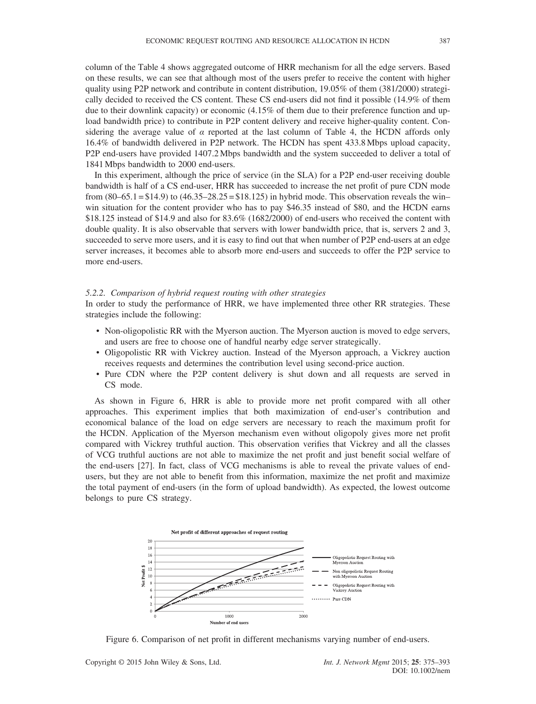column of the Table 4 shows aggregated outcome of HRR mechanism for all the edge servers. Based on these results, we can see that although most of the users prefer to receive the content with higher quality using P2P network and contribute in content distribution, 19.05% of them (381/2000) strategically decided to received the CS content. These CS end-users did not find it possible (14.9% of them due to their downlink capacity) or economic (4.15% of them due to their preference function and upload bandwidth price) to contribute in P2P content delivery and receive higher-quality content. Considering the average value of  $\alpha$  reported at the last column of Table 4, the HCDN affords only 16.4% of bandwidth delivered in P2P network. The HCDN has spent 433.8 Mbps upload capacity, P2P end-users have provided 1407.2 Mbps bandwidth and the system succeeded to deliver a total of 1841 Mbps bandwidth to 2000 end-users.

In this experiment, although the price of service (in the SLA) for a P2P end-user receiving double bandwidth is half of a CS end-user, HRR has succeeded to increase the net profit of pure CDN mode from  $(80-65.1 = $14.9)$  to  $(46.35-28.25 = $18.125)$  in hybrid mode. This observation reveals the winwin situation for the content provider who has to pay \$46.35 instead of \$80, and the HCDN earns \$18.125 instead of \$14.9 and also for 83.6% (1682/2000) of end-users who received the content with double quality. It is also observable that servers with lower bandwidth price, that is, servers 2 and 3, succeeded to serve more users, and it is easy to find out that when number of P2P end-users at an edge server increases, it becomes able to absorb more end-users and succeeds to offer the P2P service to more end-users.

## 5.2.2. Comparison of hybrid request routing with other strategies

In order to study the performance of HRR, we have implemented three other RR strategies. These strategies include the following:

- Non-oligopolistic RR with the Myerson auction. The Myerson auction is moved to edge servers, and users are free to choose one of handful nearby edge server strategically.
- Oligopolistic RR with Vickrey auction. Instead of the Myerson approach, a Vickrey auction receives requests and determines the contribution level using second-price auction.
- Pure CDN where the P2P content delivery is shut down and all requests are served in CS mode.

As shown in Figure 6, HRR is able to provide more net profit compared with all other approaches. This experiment implies that both maximization of end-user's contribution and economical balance of the load on edge servers are necessary to reach the maximum profit for the HCDN. Application of the Myerson mechanism even without oligopoly gives more net profit compared with Vickrey truthful auction. This observation verifies that Vickrey and all the classes of VCG truthful auctions are not able to maximize the net profit and just benefit social welfare of the end-users [27]. In fact, class of VCG mechanisms is able to reveal the private values of endusers, but they are not able to benefit from this information, maximize the net profit and maximize the total payment of end-users (in the form of upload bandwidth). As expected, the lowest outcome belongs to pure CS strategy.



Figure 6. Comparison of net profit in different mechanisms varying number of end-users.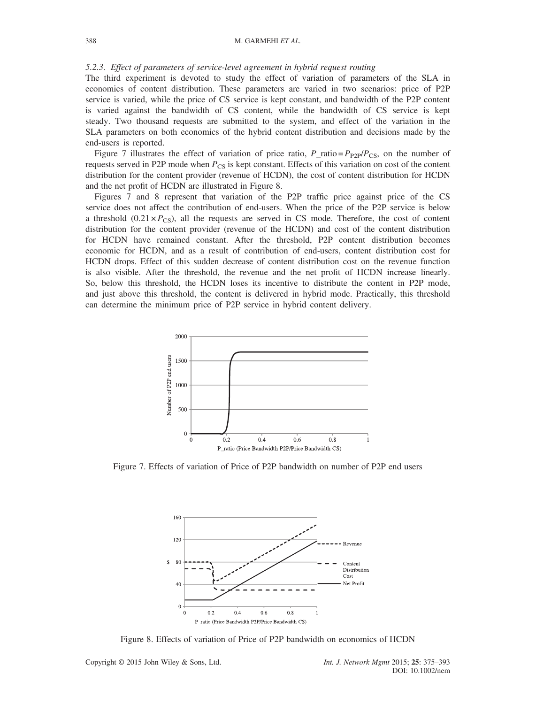## 5.2.3. Effect of parameters of service-level agreement in hybrid request routing

The third experiment is devoted to study the effect of variation of parameters of the SLA in economics of content distribution. These parameters are varied in two scenarios: price of P2P service is varied, while the price of CS service is kept constant, and bandwidth of the P2P content is varied against the bandwidth of CS content, while the bandwidth of CS service is kept steady. Two thousand requests are submitted to the system, and effect of the variation in the SLA parameters on both economics of the hybrid content distribution and decisions made by the end-users is reported.

Figure 7 illustrates the effect of variation of price ratio,  $P_{\text{ratio}} = P_{\text{P2P}}/P_{\text{CS}}$ , on the number of requests served in P2P mode when  $P_{CS}$  is kept constant. Effects of this variation on cost of the content distribution for the content provider (revenue of HCDN), the cost of content distribution for HCDN and the net profit of HCDN are illustrated in Figure 8.

Figures 7 and 8 represent that variation of the P2P traffic price against price of the CS service does not affect the contribution of end-users. When the price of the P2P service is below a threshold  $(0.21 \times P_{CS})$ , all the requests are served in CS mode. Therefore, the cost of content distribution for the content provider (revenue of the HCDN) and cost of the content distribution for HCDN have remained constant. After the threshold, P2P content distribution becomes economic for HCDN, and as a result of contribution of end-users, content distribution cost for HCDN drops. Effect of this sudden decrease of content distribution cost on the revenue function is also visible. After the threshold, the revenue and the net profit of HCDN increase linearly. So, below this threshold, the HCDN loses its incentive to distribute the content in P2P mode, and just above this threshold, the content is delivered in hybrid mode. Practically, this threshold can determine the minimum price of P2P service in hybrid content delivery.



Figure 7. Effects of variation of Price of P2P bandwidth on number of P2P end users



Figure 8. Effects of variation of Price of P2P bandwidth on economics of HCDN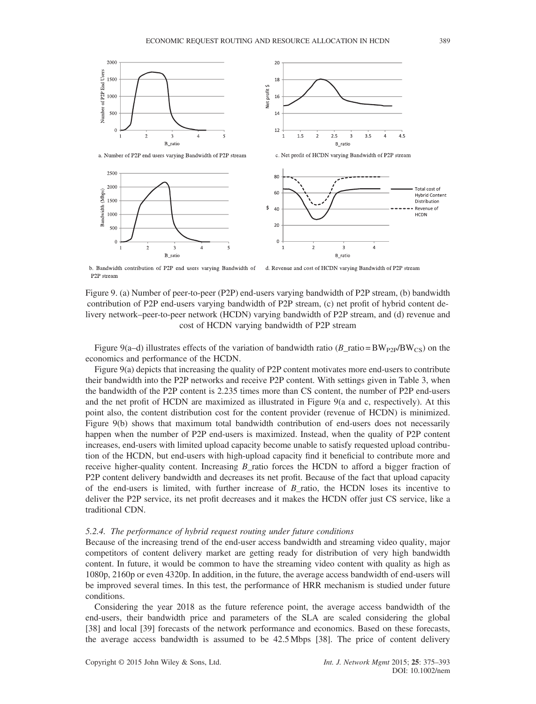

b. Bandwidth contribution of P2P end users varying Bandwidth of d. Revenue and cost of HCDN varying Bandwidth of P2P stream P<sub>2P</sub> stream

Figure 9. (a) Number of peer-to-peer (P2P) end-users varying bandwidth of P2P stream, (b) bandwidth contribution of P2P end-users varying bandwidth of P2P stream, (c) net profit of hybrid content delivery network–peer-to-peer network (HCDN) varying bandwidth of P2P stream, and (d) revenue and cost of HCDN varying bandwidth of P2P stream

Figure 9(a–d) illustrates effects of the variation of bandwidth ratio (B\_ratio = BW<sub>P2P</sub>/BW<sub>CS</sub>) on the economics and performance of the HCDN.

Figure 9(a) depicts that increasing the quality of P2P content motivates more end-users to contribute their bandwidth into the P2P networks and receive P2P content. With settings given in Table 3, when the bandwidth of the P2P content is 2.235 times more than CS content, the number of P2P end-users and the net profit of HCDN are maximized as illustrated in Figure 9(a and c, respectively). At this point also, the content distribution cost for the content provider (revenue of HCDN) is minimized. Figure 9(b) shows that maximum total bandwidth contribution of end-users does not necessarily happen when the number of P2P end-users is maximized. Instead, when the quality of P2P content increases, end-users with limited upload capacity become unable to satisfy requested upload contribution of the HCDN, but end-users with high-upload capacity find it beneficial to contribute more and receive higher-quality content. Increasing B\_ratio forces the HCDN to afford a bigger fraction of P2P content delivery bandwidth and decreases its net profit. Because of the fact that upload capacity of the end-users is limited, with further increase of  $B$ \_ratio, the HCDN loses its incentive to deliver the P2P service, its net profit decreases and it makes the HCDN offer just CS service, like a traditional CDN.

## 5.2.4. The performance of hybrid request routing under future conditions

Because of the increasing trend of the end-user access bandwidth and streaming video quality, major competitors of content delivery market are getting ready for distribution of very high bandwidth content. In future, it would be common to have the streaming video content with quality as high as 1080p, 2160p or even 4320p. In addition, in the future, the average access bandwidth of end-users will be improved several times. In this test, the performance of HRR mechanism is studied under future conditions.

Considering the year 2018 as the future reference point, the average access bandwidth of the end-users, their bandwidth price and parameters of the SLA are scaled considering the global [38] and local [39] forecasts of the network performance and economics. Based on these forecasts, the average access bandwidth is assumed to be 42.5 Mbps [38]. The price of content delivery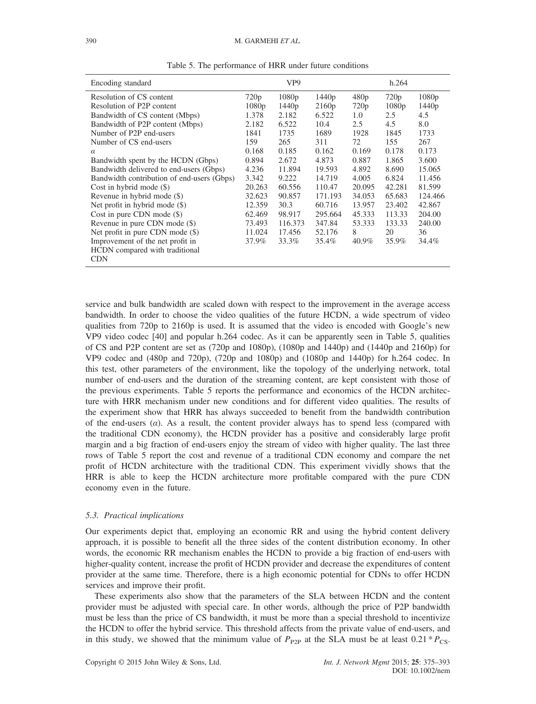| Encoding standard                          |        | VP <sub>9</sub> |         | h.264  |        |                   |  |
|--------------------------------------------|--------|-----------------|---------|--------|--------|-------------------|--|
| Resolution of CS content                   | 720p   | 1080p           | 1440p   | 480p   | 720p   | 1080p             |  |
| Resolution of P2P content                  | 1080p  | 1440p           | 2160p   | 720p   | 1080p  | 1440 <sub>p</sub> |  |
| Bandwidth of CS content (Mbps)             | 1.378  | 2.182           | 6.522   | 1.0    | 2.5    | 4.5               |  |
| Bandwidth of P2P content (Mbps)            | 2.182  | 6.522           | 10.4    | 2.5    | 4.5    | 8.0               |  |
| Number of P2P end-users                    | 1841   | 1735            | 1689    | 1928   | 1845   | 1733              |  |
| Number of CS end-users                     | 159    | 265             | 311     | 72     | 155    | 267               |  |
| $\alpha$                                   | 0.168  | 0.185           | 0.162   | 0.169  | 0.178  | 0.173             |  |
| Bandwidth spent by the HCDN (Gbps)         | 0.894  | 2.672           | 4.873   | 0.887  | 1.865  | 3.600             |  |
| Bandwidth delivered to end-users (Gbps)    | 4.236  | 11.894          | 19.593  | 4.892  | 8.690  | 15.065            |  |
| Bandwidth contribution of end-users (Gbps) | 3.342  | 9.222           | 14.719  | 4.005  | 6.824  | 11.456            |  |
| Cost in hybrid mode $(\$)$                 | 20.263 | 60.556          | 110.47  | 20.095 | 42.281 | 81.599            |  |
| Revenue in hybrid mode (\$)                | 32.623 | 90.857          | 171.193 | 34.053 | 65.683 | 124.466           |  |
| Net profit in hybrid mode $(\$)$           | 12.359 | 30.3            | 60.716  | 13.957 | 23.402 | 42.867            |  |
| Cost in pure CDN mode (\$)                 | 62.469 | 98.917          | 295.664 | 45.333 | 113.33 | 204.00            |  |
| Revenue in pure CDN mode (\$)              | 73.493 | 116.373         | 347.84  | 53.333 | 133.33 | 240.00            |  |
| Net profit in pure CDN mode (\$)           | 11.024 | 17.456          | 52.176  | 8      | 20     | 36                |  |
| Improvement of the net profit in           | 37.9%  | 33.3%           | 35.4%   | 40.9%  | 35.9%  | 34.4%             |  |
| HCDN compared with traditional             |        |                 |         |        |        |                   |  |
| <b>CDN</b>                                 |        |                 |         |        |        |                   |  |

Table 5. The performance of HRR under future conditions

service and bulk bandwidth are scaled down with respect to the improvement in the average access bandwidth. In order to choose the video qualities of the future HCDN, a wide spectrum of video qualities from 720p to 2160p is used. It is assumed that the video is encoded with Google's new VP9 video codec [40] and popular h.264 codec. As it can be apparently seen in Table 5, qualities of CS and P2P content are set as (720p and 1080p), (1080p and 1440p) and (1440p and 2160p) for VP9 codec and (480p and 720p), (720p and 1080p) and (1080p and 1440p) for h.264 codec. In this test, other parameters of the environment, like the topology of the underlying network, total number of end-users and the duration of the streaming content, are kept consistent with those of the previous experiments. Table 5 reports the performance and economics of the HCDN architecture with HRR mechanism under new conditions and for different video qualities. The results of the experiment show that HRR has always succeeded to benefit from the bandwidth contribution of the end-users  $(a)$ . As a result, the content provider always has to spend less (compared with the traditional CDN economy), the HCDN provider has a positive and considerably large profit margin and a big fraction of end-users enjoy the stream of video with higher quality. The last three rows of Table 5 report the cost and revenue of a traditional CDN economy and compare the net profit of HCDN architecture with the traditional CDN. This experiment vividly shows that the HRR is able to keep the HCDN architecture more profitable compared with the pure CDN economy even in the future.

#### 5.3. Practical implications

Our experiments depict that, employing an economic RR and using the hybrid content delivery approach, it is possible to benefit all the three sides of the content distribution economy. In other words, the economic RR mechanism enables the HCDN to provide a big fraction of end-users with higher-quality content, increase the profit of HCDN provider and decrease the expenditures of content provider at the same time. Therefore, there is a high economic potential for CDNs to offer HCDN services and improve their profit.

These experiments also show that the parameters of the SLA between HCDN and the content provider must be adjusted with special care. In other words, although the price of P2P bandwidth must be less than the price of CS bandwidth, it must be more than a special threshold to incentivize the HCDN to offer the hybrid service. This threshold affects from the private value of end-users, and in this study, we showed that the minimum value of  $P_{P2P}$  at the SLA must be at least 0.21  $*P_{CS}$ .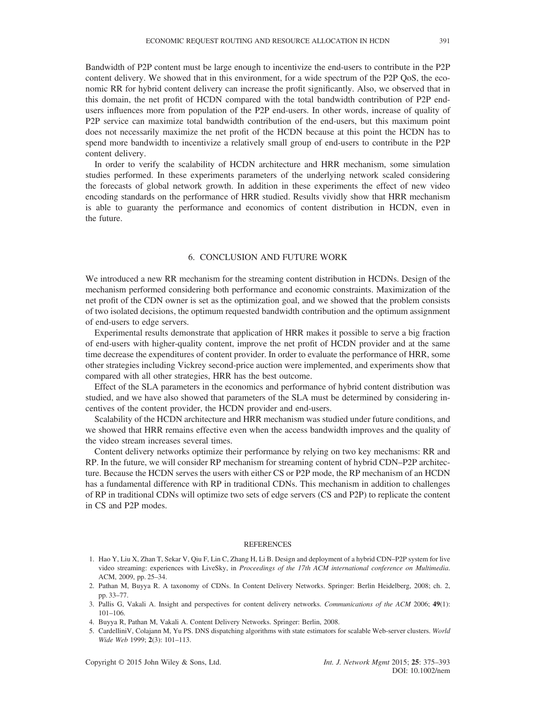Bandwidth of P2P content must be large enough to incentivize the end-users to contribute in the P2P content delivery. We showed that in this environment, for a wide spectrum of the P2P QoS, the economic RR for hybrid content delivery can increase the profit significantly. Also, we observed that in this domain, the net profit of HCDN compared with the total bandwidth contribution of P2P endusers influences more from population of the P2P end-users. In other words, increase of quality of P2P service can maximize total bandwidth contribution of the end-users, but this maximum point does not necessarily maximize the net profit of the HCDN because at this point the HCDN has to spend more bandwidth to incentivize a relatively small group of end-users to contribute in the P2P content delivery.

In order to verify the scalability of HCDN architecture and HRR mechanism, some simulation studies performed. In these experiments parameters of the underlying network scaled considering the forecasts of global network growth. In addition in these experiments the effect of new video encoding standards on the performance of HRR studied. Results vividly show that HRR mechanism is able to guaranty the performance and economics of content distribution in HCDN, even in the future.

## 6. CONCLUSION AND FUTURE WORK

We introduced a new RR mechanism for the streaming content distribution in HCDNs. Design of the mechanism performed considering both performance and economic constraints. Maximization of the net profit of the CDN owner is set as the optimization goal, and we showed that the problem consists of two isolated decisions, the optimum requested bandwidth contribution and the optimum assignment of end-users to edge servers.

Experimental results demonstrate that application of HRR makes it possible to serve a big fraction of end-users with higher-quality content, improve the net profit of HCDN provider and at the same time decrease the expenditures of content provider. In order to evaluate the performance of HRR, some other strategies including Vickrey second-price auction were implemented, and experiments show that compared with all other strategies, HRR has the best outcome.

Effect of the SLA parameters in the economics and performance of hybrid content distribution was studied, and we have also showed that parameters of the SLA must be determined by considering incentives of the content provider, the HCDN provider and end-users.

Scalability of the HCDN architecture and HRR mechanism was studied under future conditions, and we showed that HRR remains effective even when the access bandwidth improves and the quality of the video stream increases several times.

Content delivery networks optimize their performance by relying on two key mechanisms: RR and RP. In the future, we will consider RP mechanism for streaming content of hybrid CDN–P2P architecture. Because the HCDN serves the users with either CS or P2P mode, the RP mechanism of an HCDN has a fundamental difference with RP in traditional CDNs. This mechanism in addition to challenges of RP in traditional CDNs will optimize two sets of edge servers (CS and P2P) to replicate the content in CS and P2P modes.

#### REFERENCES

- 1. Hao Y, Liu X, Zhan T, Sekar V, Qiu F, Lin C, Zhang H, Li B. Design and deployment of a hybrid CDN–P2P system for live video streaming: experiences with LiveSky, in Proceedings of the 17th ACM international conference on Multimedia. ACM, 2009, pp. 25–34.
- 2. Pathan M, Buyya R. A taxonomy of CDNs. In Content Delivery Networks. Springer: Berlin Heidelberg, 2008; ch. 2, pp. 33–77.
- 3. Pallis G, Vakali A. Insight and perspectives for content delivery networks. Communications of the ACM 2006; 49(1): 101–106.
- 4. Buyya R, Pathan M, Vakali A. Content Delivery Networks. Springer: Berlin, 2008.
- 5. CardelliniV, Colajann M, Yu PS. DNS dispatching algorithms with state estimators for scalable Web-server clusters. World Wide Web 1999; 2(3): 101-113.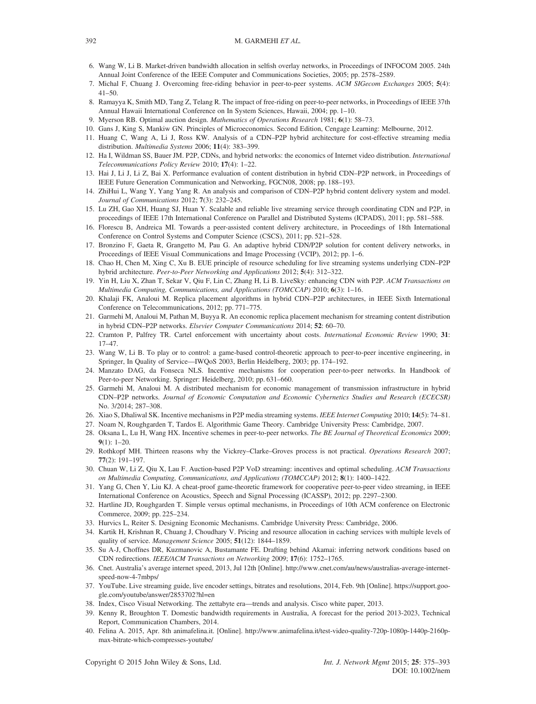#### 392 M. GARMEHI ET AL.

- 6. Wang W, Li B. Market-driven bandwidth allocation in selfish overlay networks, in Proceedings of INFOCOM 2005. 24th Annual Joint Conference of the IEEE Computer and Communications Societies, 2005; pp. 2578–2589.
- 7. Michal F, Chuang J. Overcoming free-riding behavior in peer-to-peer systems. ACM SIGecom Exchanges 2005; 5(4): 41–50.
- 8. Ramayya K, Smith MD, Tang Z, Telang R. The impact of free-riding on peer-to-peer networks, in Proceedings of IEEE 37th Annual Hawaii International Conference on In System Sciences, Hawaii, 2004; pp. 1–10.
- 9. Myerson RB. Optimal auction design. Mathematics of Operations Research 1981; 6(1): 58–73.
- 10. Gans J, King S, Mankiw GN. Principles of Microeconomics. Second Edition, Cengage Learning: Melbourne, 2012.
- 11. Huang C, Wang A, Li J, Ross KW. Analysis of a CDN–P2P hybrid architecture for cost-effective streaming media distribution. Multimedia Systems 2006; 11(4): 383–399.
- 12. Ha I, Wildman SS, Bauer JM. P2P, CDNs, and hybrid networks: the economics of Internet video distribution. International Telecommunications Policy Review 2010; 17(4): 1–22.
- 13. Hai J, Li J, Li Z, Bai X. Performance evaluation of content distribution in hybrid CDN–P2P network, in Proceedings of IEEE Future Generation Communication and Networking, FGCN08, 2008; pp. 188–193.
- 14. ZhiHui L, Wang Y, Yang Yang R. An analysis and comparison of CDN–P2P hybrid content delivery system and model. Journal of Communications 2012; 7(3): 232–245.
- 15. Lu ZH, Gao XH, Huang SJ, Huan Y. Scalable and reliable live streaming service through coordinating CDN and P2P, in proceedings of IEEE 17th International Conference on Parallel and Distributed Systems (ICPADS), 2011; pp. 581–588.
- 16. Florescu B, Andreica MI. Towards a peer-assisted content delivery architecture, in Proceedings of 18th International Conference on Control Systems and Computer Science (CSCS), 2011; pp. 521–528.
- 17. Bronzino F, Gaeta R, Grangetto M, Pau G. An adaptive hybrid CDN/P2P solution for content delivery networks, in Proceedings of IEEE Visual Communications and Image Processing (VCIP), 2012; pp. 1–6.
- 18. Chao H, Chen M, Xing C, Xu B. EUE principle of resource scheduling for live streaming systems underlying CDN–P2P hybrid architecture. Peer-to-Peer Networking and Applications 2012; 5(4): 312–322.
- 19. Yin H, Liu X, Zhan T, Sekar V, Qiu F, Lin C, Zhang H, Li B. LiveSky: enhancing CDN with P2P. ACM Transactions on Multimedia Computing, Communications, and Applications (TOMCCAP) 2010; 6(3): 1–16.
- 20. Khalaji FK, Analoui M. Replica placement algorithms in hybrid CDN–P2P architectures, in IEEE Sixth International Conference on Telecommunications, 2012; pp. 771–775.
- 21. Garmehi M, Analoui M, Pathan M, Buyya R. An economic replica placement mechanism for streaming content distribution in hybrid CDN–P2P networks. Elsevier Computer Communications 2014; 52: 60–70.
- 22. Cramton P, Palfrey TR. Cartel enforcement with uncertainty about costs. International Economic Review 1990; 31: 17–47.
- 23. Wang W, Li B. To play or to control: a game-based control-theoretic approach to peer-to-peer incentive engineering, in Springer, In Quality of Service—IWQoS 2003, Berlin Heidelberg, 2003; pp. 174–192.
- 24. Manzato DAG, da Fonseca NLS. Incentive mechanisms for cooperation peer-to-peer networks. In Handbook of Peer-to-peer Networking. Springer: Heidelberg, 2010; pp. 631–660.
- 25. Garmehi M, Analoui M. A distributed mechanism for economic management of transmission infrastructure in hybrid CDN–P2P networks. Journal of Economic Computation and Economic Cybernetics Studies and Research (ECECSR) No. 3/2014; 287–308.
- 26. Xiao S, Dhaliwal SK. Incentive mechanisms in P2P media streaming systems. IEEE Internet Computing 2010; 14(5): 74–81.
- 27. Noam N, Roughgarden T, Tardos E. Algorithmic Game Theory. Cambridge University Press: Cambridge, 2007.
- 28. Oksana L, Lu H, Wang HX. Incentive schemes in peer-to-peer networks. The BE Journal of Theoretical Economics 2009;  $9(1): 1-20.$
- 29. Rothkopf MH. Thirteen reasons why the Vickrey–Clarke–Groves process is not practical. Operations Research 2007; 77(2): 191–197.
- 30. Chuan W, Li Z, Qiu X, Lau F. Auction-based P2P VoD streaming: incentives and optimal scheduling. ACM Transactions on Multimedia Computing, Communications, and Applications (TOMCCAP) 2012; 8(1): 1400–1422.
- 31. Yang G, Chen Y, Liu KJ. A cheat-proof game-theoretic framework for cooperative peer-to-peer video streaming, in IEEE International Conference on Acoustics, Speech and Signal Processing (ICASSP), 2012; pp. 2297–2300.
- 32. Hartline JD, Roughgarden T. Simple versus optimal mechanisms, in Proceedings of 10th ACM conference on Electronic Commerce, 2009; pp. 225–234.
- 33. Hurvics L, Reiter S. Designing Economic Mechanisms. Cambridge University Press: Cambridge, 2006.
- 34. Kartik H, Krishnan R, Chuang J, Choudhary V. Pricing and resource allocation in caching services with multiple levels of quality of service. Management Science 2005; 51(12): 1844-1859.
- 35. Su A-J, Choffnes DR, Kuzmanovic A, Bustamante FE. Drafting behind Akamai: inferring network conditions based on CDN redirections. IEEE/ACM Transactions on Networking 2009; 17(6): 1752–1765.
- 36. Cnet. Australia's average internet speed, 2013, Jul 12th [Online]. http://www.cnet.com/au/news/australias-average-internetspeed-now-4-7mbps/
- 37. YouTube. Live streaming guide, live encoder settings, bitrates and resolutions, 2014, Feb. 9th [Online]. https://support.google.com/youtube/answer/2853702?hl=en
- 38. Index, Cisco Visual Networking. The zettabyte era—trends and analysis. Cisco white paper, 2013.
- 39. Kenny R, Broughton T. Domestic bandwidth requirements in Australia, A forecast for the period 2013-2023, Technical Report, Communication Chambers, 2014.
- 40. Felina A. 2015, Apr. 8th animafelina.it. [Online]. [http://www.animafelina.it/test-video-quality-720p-1080p-1440p-2160p](http://www.animafelina.it/test-video-quality-720p-1080p-1440p-2160p-max-bitrate-which-compresses-youtube/)[max-bitrate-which-compresses-youtube/](http://www.animafelina.it/test-video-quality-720p-1080p-1440p-2160p-max-bitrate-which-compresses-youtube/)